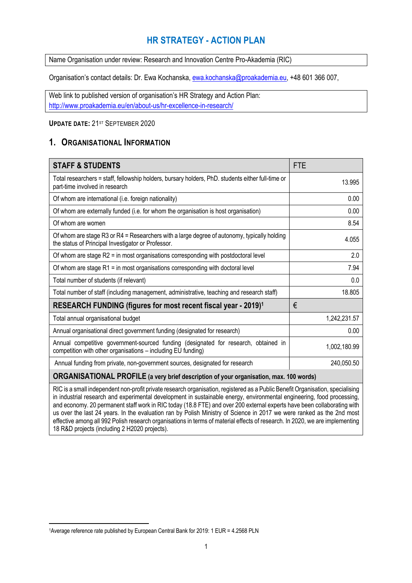## **HR STRATEGY - ACTION PLAN**

Name Organisation under review: Research and Innovation Centre Pro-Akademia (RIC)

Organisation's contact details: Dr. Ewa Kochanska, ewa.kochanska@proakademia.eu, +48 601 366 007,

Web link to published version of organisation's HR Strategy and Action Plan: http://www.proakademia.eu/en/about-us/hr-excellence-in-research/

**UPDATE DATE:** 21ST SEPTEMBER 2020

## **1. ORGANISATIONAL INFORMATION**

| <b>STAFF &amp; STUDENTS</b>                                                                                                                         | <b>FTE</b>   |  |  |  |  |  |
|-----------------------------------------------------------------------------------------------------------------------------------------------------|--------------|--|--|--|--|--|
| Total researchers = staff, fellowship holders, bursary holders, PhD. students either full-time or<br>part-time involved in research                 | 13.995       |  |  |  |  |  |
| Of whom are international (i.e. foreign nationality)                                                                                                | 0.00         |  |  |  |  |  |
| Of whom are externally funded (i.e. for whom the organisation is host organisation)                                                                 | 0.00         |  |  |  |  |  |
| Of whom are women                                                                                                                                   | 8.54         |  |  |  |  |  |
| Of whom are stage R3 or R4 = Researchers with a large degree of autonomy, typically holding<br>the status of Principal Investigator or Professor.   | 4.055        |  |  |  |  |  |
| Of whom are stage $R2$ = in most organisations corresponding with postdoctoral level                                                                | 2.0          |  |  |  |  |  |
| Of whom are stage $R1$ = in most organisations corresponding with doctoral level                                                                    | 7.94         |  |  |  |  |  |
| Total number of students (if relevant)                                                                                                              | 0.0          |  |  |  |  |  |
| Total number of staff (including management, administrative, teaching and research staff)                                                           | 18.805       |  |  |  |  |  |
| RESEARCH FUNDING (figures for most recent fiscal year - 2019) <sup>1</sup>                                                                          | €            |  |  |  |  |  |
| Total annual organisational budget                                                                                                                  | 1,242,231.57 |  |  |  |  |  |
| Annual organisational direct government funding (designated for research)                                                                           | 0.00         |  |  |  |  |  |
| Annual competitive government-sourced funding (designated for research, obtained in<br>competition with other organisations - including EU funding) | 1,002,180.99 |  |  |  |  |  |
| Annual funding from private, non-government sources, designated for research                                                                        | 240,050.50   |  |  |  |  |  |
| ORGANISATIONAL PROFILE (a very brief description of your organisation, max. 100 words)                                                              |              |  |  |  |  |  |

RIC is a small independent non-profit private research organisation, registered as a Public Benefit Organisation, specialising in industrial research and experimental development in sustainable energy, environmental engineering, food processing, and economy. 20 permanent staff work in RIC today (18.8 FTE) and over 200 external experts have been collaborating with us over the last 24 years. In the evaluation ran by Polish Ministry of Science in 2017 we were ranked as the 2nd most effective among all 992 Polish research organisations in terms of material effects of research. In 2020, we are implementing 18 R&D projects (including 2 H2020 projects).

<sup>1</sup>Average reference rate published by European Central Bank for 2019: 1 EUR = 4.2568 PLN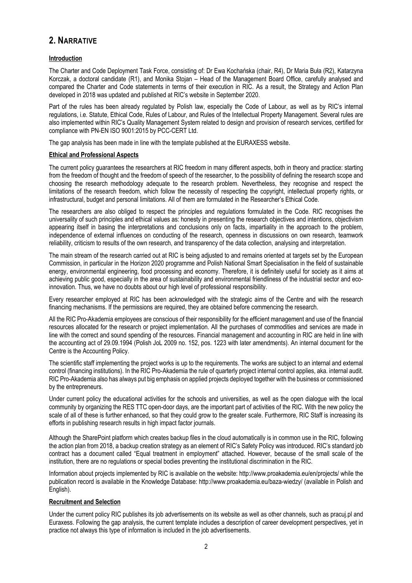## **2. NARRATIVE**

#### **Introduction**

The Charter and Code Deployment Task Force, consisting of: Dr Ewa Kochańska (chair, R4), Dr Maria Buła (R2), Katarzyna Korczak, a doctoral candidate (R1), and Monika Stojan – Head of the Management Board Office, carefully analysed and compared the Charter and Code statements in terms of their execution in RIC. As a result, the Strategy and Action Plan developed in 2018 was updated and published at RIC's website in September 2020.

Part of the rules has been already regulated by Polish law, especially the Code of Labour, as well as by RIC's internal regulations, i.e. Statute, Ethical Code, Rules of Labour, and Rules of the Intellectual Property Management. Several rules are also implemented within RIC's Quality Management System related to design and provision of research services, certified for compliance with PN-EN ISO 9001:2015 by PCC-CERT Ltd.

The gap analysis has been made in line with the template published at the EURAXESS website.

#### **Ethical and Professional Aspects**

The current policy guarantees the researchers at RIC freedom in many different aspects, both in theory and practice: starting from the freedom of thought and the freedom of speech of the researcher, to the possibility of defining the research scope and choosing the research methodology adequate to the research problem. Nevertheless, they recognise and respect the limitations of the research freedom, which follow the necessity of respecting the copyright, intellectual property rights, or infrastructural, budget and personal limitations. All of them are formulated in the Researcher's Ethical Code.

The researchers are also obliged to respect the principles and regulations formulated in the Code. RIC recognises the universality of such principles and ethical values as: honesty in presenting the research objectives and intentions, objectivism appearing itself in basing the interpretations and conclusions only on facts, impartiality in the approach to the problem, independence of external influences on conducting of the research, openness in discussions on own research, teamwork reliability, criticism to results of the own research, and transparency of the data collection, analysing and interpretation.

The main stream of the research carried out at RIC is being adjusted to and remains oriented at targets set by the European Commission, in particular in the Horizon 2020 programme and Polish National Smart Specialisation in the field of sustainable energy, environmental engineering, food processing and economy. Therefore, it is definitely useful for society as it aims at achieving public good, especially in the area of sustainability and environmental friendliness of the industrial sector and ecoinnovation. Thus, we have no doubts about our high level of professional responsibility.

Every researcher employed at RIC has been acknowledged with the strategic aims of the Centre and with the research financing mechanisms. If the permissions are required, they are obtained before commencing the research.

All the RIC Pro-Akademia employees are conscious of their responsibility for the efficient management and use of the financial resources allocated for the research or project implementation. All the purchases of commodities and services are made in line with the correct and sound spending of the resources. Financial management and accounting in RIC are held in line with the accounting act of 29.09.1994 (Polish JoL 2009 no. 152, pos. 1223 with later amendments). An internal document for the Centre is the Accounting Policy.

The scientific staff implementing the project works is up to the requirements. The works are subject to an internal and external control (financing institutions). In the RIC Pro-Akademia the rule of quarterly project internal control applies, aka. internal audit. RIC Pro-Akademia also has always put big emphasis on applied projects deployed together with the business or commissioned by the entrepreneurs.

Under current policy the educational activities for the schools and universities, as well as the open dialogue with the local community by organizing the RES TTC open-door days, are the important part of activities of the RIC. With the new policy the scale of all of these is further enhanced, so that they could grow to the greater scale. Furthermore, RIC Staff is increasing its efforts in publishing research results in high impact factor journals.

Although the SharePoint platform which creates backup files in the cloud automatically is in common use in the RIC, following the action plan from 2018, a backup creation strategy as an element of RIC's Safety Policy was introduced. RIC's standard job contract has a document called "Equal treatment in employment" attached. However, because of the small scale of the institution, there are no regulations or special bodies preventing the institutional discrimination in the RIC.

Information about projects implemented by RIC is available on the website: http://www.proakademia.eu/en/projects/ while the publication record is available in the Knowledge Database: http://www.proakademia.eu/baza-wiedzy/ (available in Polish and English).

#### **Recruitment and Selection**

Under the current policy RIC publishes its job advertisements on its website as well as other channels, such as pracuj.pl and Euraxess. Following the gap analysis, the current template includes a description of career development perspectives, yet in practice not always this type of information is included in the job advertisements.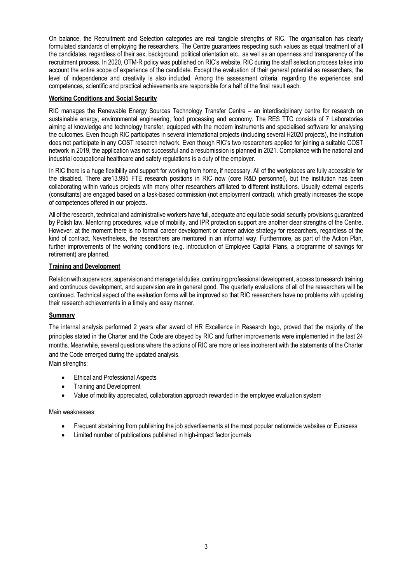On balance, the Recruitment and Selection categories are real tangible strengths of RIC. The organisation has clearly formulated standards of employing the researchers. The Centre guarantees respecting such values as equal treatment of all the candidates, regardless of their sex, background, political orientation etc., as well as an openness and transparency of the recruitment process. In 2020, OTM-R policy was published on RIC's website. RIC during the staff selection process takes into account the entire scope of experience of the candidate. Except the evaluation of their general potential as researchers, the level of independence and creativity is also included. Among the assessment criteria, regarding the experiences and competences, scientific and practical achievements are responsible for a half of the final result each.

#### **Working Conditions and Social Security**

RIC manages the Renewable Energy Sources Technology Transfer Centre – an interdisciplinary centre for research on sustainable energy, environmental engineering, food processing and economy. The RES TTC consists of 7 Laboratories aiming at knowledge and technology transfer, equipped with the modern instruments and specialised software for analysing the outcomes. Even though RIC participates in several international projects (including several H2020 projects), the institution does not participate in any COST research network. Even though RIC's two researchers applied for joining a suitable COST network in 2019, the application was not successful and a resubmission is planned in 2021. Compliance with the national and industrial occupational healthcare and safety regulations is a duty of the employer.

In RIC there is a huge flexibility and support for working from home, if necessary. All of the workplaces are fully accessible for the disabled. There are13.995 FTE research positions in RIC now (core R&D personnel), but the institution has been collaborating within various projects with many other researchers affiliated to different institutions. Usually external experts (consultants) are engaged based on a task-based commission (not employment contract), which greatly increases the scope of competences offered in our projects.

All of the research, technical and administrative workers have full, adequate and equitable social security provisions guaranteed by Polish law. Mentoring procedures, value of mobility, and IPR protection support are another clear strengths of the Centre. However, at the moment there is no formal career development or career advice strategy for researchers, regardless of the kind of contract. Nevertheless, the researchers are mentored in an informal way. Furthermore, as part of the Action Plan, further improvements of the working conditions (e.g. introduction of Employee Capital Plans, a programme of savings for retirement) are planned.

#### **Training and Development**

Relation with supervisors, supervision and managerial duties, continuing professional development, access to research training and continuous development, and supervision are in general good. The quarterly evaluations of all of the researchers will be continued. Technical aspect of the evaluation forms will be improved so that RIC researchers have no problems with updating their research achievements in a timely and easy manner.

#### **Summary**

The internal analysis performed 2 years after award of HR Excellence in Research logo, proved that the majority of the principles stated in the Charter and the Code are obeyed by RIC and further improvements were implemented in the last 24 months. Meanwhile, several questions where the actions of RIC are more or less incoherent with the statements of the Charter and the Code emerged during the updated analysis.

Main strengths:

- Ethical and Professional Aspects
- Training and Development
- Value of mobility appreciated, collaboration approach rewarded in the employee evaluation system

#### Main weaknesses:

- Frequent abstaining from publishing the job advertisements at the most popular nationwide websites or Euraxess
- Limited number of publications published in high-impact factor journals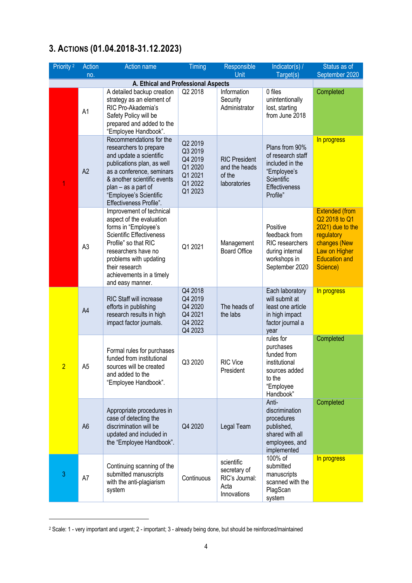# **3. ACTIONS (01.04.2018-31.12.2023)**

| Priority <sup>2</sup> | <b>Action</b>  | <b>Action name</b>                                                                                                                                                                                                                                         | Timing                                                                    | Responsible                                                         | Indicator(s) /                                                                                                   | Status as of                                                                                                                                  |
|-----------------------|----------------|------------------------------------------------------------------------------------------------------------------------------------------------------------------------------------------------------------------------------------------------------------|---------------------------------------------------------------------------|---------------------------------------------------------------------|------------------------------------------------------------------------------------------------------------------|-----------------------------------------------------------------------------------------------------------------------------------------------|
|                       | no.            |                                                                                                                                                                                                                                                            |                                                                           | Unit                                                                | Target(s)                                                                                                        | September 2020                                                                                                                                |
|                       |                | A. Ethical and Professional Aspects                                                                                                                                                                                                                        |                                                                           |                                                                     |                                                                                                                  |                                                                                                                                               |
|                       | A <sub>1</sub> | A detailed backup creation<br>strategy as an element of<br>RIC Pro-Akademia's<br>Safety Policy will be<br>prepared and added to the<br>"Employee Handbook".                                                                                                | Q2 2018                                                                   | Information<br>Security<br>Administrator                            | 0 files<br>unintentionally<br>lost, starting<br>from June 2018                                                   | Completed                                                                                                                                     |
| 1                     | A2             | Recommendations for the<br>researchers to prepare<br>and update a scientific<br>publications plan, as well<br>as a conference, seminars<br>& another scientific events<br>plan - as a part of<br>"Employee's Scientific<br>Effectiveness Profile".         | Q2 2019<br>Q3 2019<br>Q4 2019<br>Q1 2020<br>Q1 2021<br>Q1 2022<br>Q1 2023 | <b>RIC President</b><br>and the heads<br>of the<br>laboratories     | Plans from 90%<br>of research staff<br>included in the<br>"Employee's<br>Scientific<br>Effectiveness<br>Profile" | In progress                                                                                                                                   |
|                       | A <sub>3</sub> | Improvement of technical<br>aspect of the evaluation<br>forms in "Employee's<br><b>Scientific Effectiveness</b><br>Profile" so that RIC<br>researchers have no<br>problems with updating<br>their research<br>achievements in a timely<br>and easy manner. | Q1 2021                                                                   | Management<br><b>Board Office</b>                                   | Positive<br>feedback from<br>RIC researchers<br>during internal<br>workshops in<br>September 2020                | <b>Extended (from</b><br>Q2 2018 to Q1<br>2021) due to the<br>regulatory<br>changes (New<br>Law on Higher<br><b>Education and</b><br>Science) |
| $\overline{2}$        | A <sup>4</sup> | RIC Staff will increase<br>efforts in publishing<br>research results in high<br>impact factor journals.                                                                                                                                                    | Q4 2018<br>Q4 2019<br>Q4 2020<br>Q4 2021<br>Q4 2022<br>Q4 2023            | The heads of<br>the labs                                            | Each laboratory<br>will submit at<br>least one article<br>in high impact<br>factor journal a<br>year             | In progress                                                                                                                                   |
|                       | A <sub>5</sub> | Formal rules for purchases<br>funded from institutional<br>sources will be created<br>and added to the<br>"Employee Handbook".                                                                                                                             | Q3 2020                                                                   | <b>RIC Vice</b><br>President                                        | rules for<br>purchases<br>funded from<br>institutional<br>sources added<br>to the<br>"Employee<br>Handbook"      | Completed                                                                                                                                     |
|                       | A <sub>6</sub> | Appropriate procedures in<br>case of detecting the<br>discrimination will be<br>updated and included in<br>the "Employee Handbook".                                                                                                                        | Q4 2020                                                                   | Legal Team                                                          | Anti-<br>discrimination<br>procedures<br>published,<br>shared with all<br>employees, and<br>implemented          | Completed                                                                                                                                     |
| 3                     | A7             | Continuing scanning of the<br>submitted manuscripts<br>with the anti-plagiarism<br>system                                                                                                                                                                  | Continuous                                                                | scientific<br>secretary of<br>RIC's Journal:<br>Acta<br>Innovations | 100% of<br>submitted<br>manuscripts<br>scanned with the<br>PlagScan<br>system                                    | In progress                                                                                                                                   |

<sup>2</sup> Scale: 1 - very important and urgent; 2 - important; 3 - already being done, but should be reinforced/maintained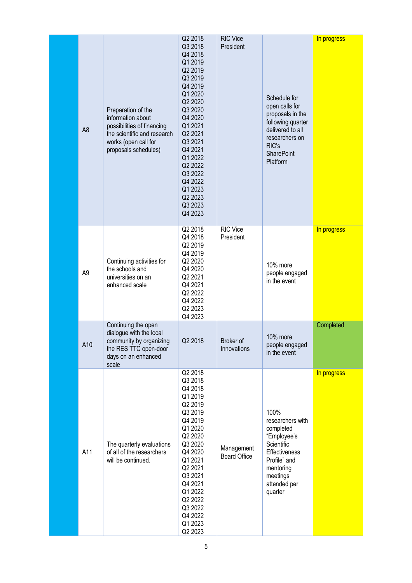| A <sub>8</sub> | Preparation of the<br>information about<br>possibilities of financing<br>the scientific and research<br>works (open call for<br>proposals schedules) | Q2 2018<br>Q3 2018<br>Q4 2018<br>Q1 2019<br>Q2 2019<br>Q3 2019<br>Q4 2019<br>Q1 2020<br>Q2 2020<br>Q3 2020<br>Q4 2020<br>Q1 2021<br>Q2 2021<br>Q3 2021<br>Q4 2021<br>Q1 2022<br>Q2 2022<br>Q3 2022<br>Q4 2022<br>Q1 2023<br>Q2 2023<br>Q3 2023<br>Q4 2023 | <b>RIC Vice</b><br>President      | Schedule for<br>open calls for<br>proposals in the<br>following quarter<br>delivered to all<br>researchers on<br>RIC's<br><b>SharePoint</b><br>Platform | In progress |
|----------------|------------------------------------------------------------------------------------------------------------------------------------------------------|-----------------------------------------------------------------------------------------------------------------------------------------------------------------------------------------------------------------------------------------------------------|-----------------------------------|---------------------------------------------------------------------------------------------------------------------------------------------------------|-------------|
| A <sub>9</sub> | Continuing activities for<br>the schools and<br>universities on an<br>enhanced scale                                                                 | Q2 2018<br>Q4 2018<br>Q2 2019<br>Q4 2019<br>Q2 2020<br>Q4 2020<br>Q2 2021<br>Q4 2021<br>Q2 2022<br>Q4 2022<br>Q2 2023<br>Q4 2023                                                                                                                          | RIC Vice<br>President             | 10% more<br>people engaged<br>in the event                                                                                                              | In progress |
| A10            | Continuing the open<br>dialogue with the local<br>community by organizing<br>the RES TTC open-door<br>days on an enhanced<br>scale                   | Q2 2018                                                                                                                                                                                                                                                   | Broker of<br>Innovations          | 10% more<br>people engaged<br>in the event                                                                                                              | Completed   |
| A11            | The quarterly evaluations<br>of all of the researchers<br>will be continued.                                                                         | Q2 2018<br>Q3 2018<br>Q4 2018<br>Q1 2019<br>Q2 2019<br>Q3 2019<br>Q4 2019<br>Q1 2020<br>Q2 2020<br>Q3 2020<br>Q4 2020<br>Q1 2021<br>Q2 2021<br>Q3 2021<br>Q4 2021<br>Q1 2022<br>Q2 2022<br>Q3 2022<br>Q4 2022<br>Q1 2023<br>Q2 2023                       | Management<br><b>Board Office</b> | 100%<br>researchers with<br>completed<br>"Employee's<br>Scientific<br>Effectiveness<br>Profile" and<br>mentoring<br>meetings<br>attended per<br>quarter | In progress |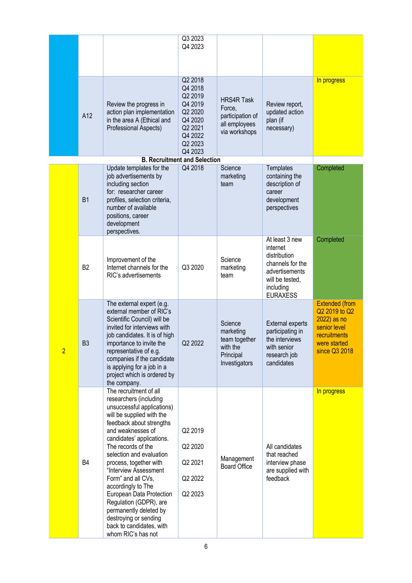|                |                |                                                                                                                                                                                                                                                                                                                                                                                                                                                                                                       | Q3 2023<br>Q4 2023                                                                                         |                                                                                   |                                                                                                                                     |                                                                                                                        |
|----------------|----------------|-------------------------------------------------------------------------------------------------------------------------------------------------------------------------------------------------------------------------------------------------------------------------------------------------------------------------------------------------------------------------------------------------------------------------------------------------------------------------------------------------------|------------------------------------------------------------------------------------------------------------|-----------------------------------------------------------------------------------|-------------------------------------------------------------------------------------------------------------------------------------|------------------------------------------------------------------------------------------------------------------------|
|                | A12            | Review the progress in<br>action plan implementation<br>in the area A (Ethical and<br>Professional Aspects)                                                                                                                                                                                                                                                                                                                                                                                           | Q2 2018<br>Q4 2018<br>Q2 2019<br>Q4 2019<br>Q2 2020<br>Q4 2020<br>Q2 2021<br>Q4 2022<br>Q2 2023<br>Q4 2023 | <b>HRS4R Task</b><br>Force,<br>participation of<br>all employees<br>via workshops | Review report,<br>updated action<br>plan (if<br>necessary)                                                                          | In progress                                                                                                            |
|                |                |                                                                                                                                                                                                                                                                                                                                                                                                                                                                                                       | <b>B. Recruitment and Selection</b>                                                                        |                                                                                   |                                                                                                                                     |                                                                                                                        |
|                | B1             | Update templates for the<br>job advertisements by<br>including section<br>for: researcher career<br>profiles, selection criteria,<br>number of available<br>positions, career<br>development<br>perspectives.                                                                                                                                                                                                                                                                                         | Q4 2018                                                                                                    | Science<br>marketing<br>team                                                      | Templates<br>containing the<br>description of<br>career<br>development<br>perspectives                                              | Completed                                                                                                              |
|                | B <sub>2</sub> | Improvement of the<br>Internet channels for the<br>RIC's advertisements                                                                                                                                                                                                                                                                                                                                                                                                                               | Q3 2020                                                                                                    | Science<br>marketing<br>team                                                      | At least 3 new<br>internet<br>distribution<br>channels for the<br>advertisements<br>will be tested,<br>including<br><b>EURAXESS</b> | Completed                                                                                                              |
| $\overline{2}$ | B <sub>3</sub> | The external expert (e.g.<br>external member of RIC's<br>Scientific Council) will be<br>invited for interviews with<br>job candidates. It is of high<br>importance to invite the<br>representative of e.g.<br>companies if the candidate<br>is applying for a job in a<br>project which is ordered by<br>the company.                                                                                                                                                                                 | Q2 2022                                                                                                    | Science<br>marketing<br>team together<br>with the<br>Principal<br>Investigators   | External experts<br>participating in<br>the interviews<br>with senior<br>research job<br>candidates                                 | <b>Extended (from</b><br>Q2 2019 to Q2<br>2022) as no<br>senior level<br>recruitments<br>were started<br>since Q3 2018 |
|                | <b>B4</b>      | The recruitment of all<br>researchers (including<br>unsuccessful applications)<br>will be supplied with the<br>feedback about strengths<br>and weaknesses of<br>candidates' applications.<br>The records of the<br>selection and evaluation<br>process, together with<br>"Interview Assessment<br>Form" and all CVs,<br>accordingly to The<br>European Data Protection<br>Regulation (GDPR), are<br>permanently deleted by<br>destroying or sending<br>back to candidates, with<br>whom RIC's has not | Q2 2019<br>Q2 2020<br>Q2 2021<br>Q2 2022<br>Q2 2023                                                        | Management<br><b>Board Office</b>                                                 | All candidates<br>that reached<br>interview phase<br>are supplied with<br>feedback                                                  | In progress                                                                                                            |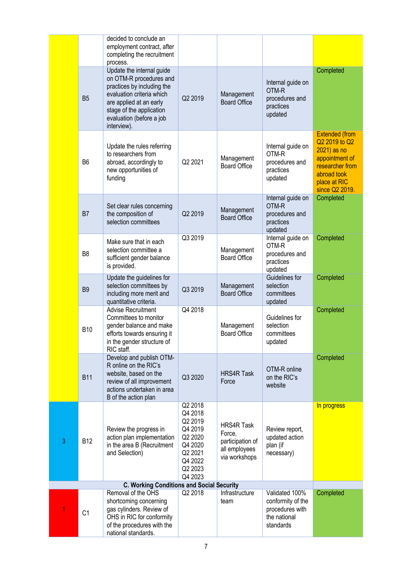|   |                | decided to conclude an<br>employment contract, after<br>completing the recruitment<br>process.                                                                                                                    |                                                                                                            |                                                                                   |                                                                      |                                                                                                                                                |
|---|----------------|-------------------------------------------------------------------------------------------------------------------------------------------------------------------------------------------------------------------|------------------------------------------------------------------------------------------------------------|-----------------------------------------------------------------------------------|----------------------------------------------------------------------|------------------------------------------------------------------------------------------------------------------------------------------------|
|   | B <sub>5</sub> | Update the internal guide<br>on OTM-R procedures and<br>practices by including the<br>evaluation criteria which<br>are applied at an early<br>stage of the application<br>evaluation (before a job<br>interview). | Q2 2019                                                                                                    | Management<br><b>Board Office</b>                                                 | Internal guide on<br>OTM-R<br>procedures and<br>practices<br>updated | Completed                                                                                                                                      |
|   | B <sub>6</sub> | Update the rules referring<br>to researchers from<br>abroad, accordingly to<br>new opportunities of<br>funding                                                                                                    | Q2 2021                                                                                                    | Management<br><b>Board Office</b>                                                 | Internal guide on<br>OTM-R<br>procedures and<br>practices<br>updated | <b>Extended (from</b><br>Q2 2019 to Q2<br>$2021$ ) as no<br>appointment of<br>researcher from<br>abroad took<br>place at RIC<br>since Q2 2019. |
|   | B7             | Set clear rules concerning<br>the composition of<br>selection committees                                                                                                                                          | Q2 2019                                                                                                    | Management<br><b>Board Office</b>                                                 | Internal guide on<br>OTM-R<br>procedures and<br>practices<br>updated | Completed                                                                                                                                      |
|   | B <sub>8</sub> | Make sure that in each<br>selection committee a<br>sufficient gender balance<br>is provided.                                                                                                                      | Q3 2019                                                                                                    | Management<br><b>Board Office</b>                                                 | Internal guide on<br>OTM-R<br>procedures and<br>practices<br>updated | Completed                                                                                                                                      |
|   | B <sub>9</sub> | Update the guidelines for<br>selection committees by<br>including more merit and<br>quantitative criteria.                                                                                                        | Q3 2019                                                                                                    | Management<br><b>Board Office</b>                                                 | <b>Guidelines for</b><br>selection<br>committees<br>updated          | Completed                                                                                                                                      |
|   | <b>B10</b>     | <b>Advise Recruitment</b><br>Committees to monitor<br>gender balance and make<br>efforts towards ensuring it<br>in the gender structure of<br>RIC staff.                                                          | Q4 2018                                                                                                    | Management<br><b>Board Office</b>                                                 | Guidelines for<br>selection<br>committees<br>updated                 | Completed                                                                                                                                      |
|   | <b>B11</b>     | Develop and publish OTM-<br>R online on the RIC's<br>website, based on the<br>review of all improvement<br>actions undertaken in area<br>B of the action plan                                                     | Q3 2020                                                                                                    | <b>HRS4R Task</b><br>Force                                                        | OTM-R online<br>on the RIC's<br>website                              | Completed                                                                                                                                      |
| 3 | <b>B12</b>     | Review the progress in<br>action plan implementation<br>in the area B (Recruitment<br>and Selection)                                                                                                              | Q2 2018<br>Q4 2018<br>Q2 2019<br>Q4 2019<br>Q2 2020<br>Q4 2020<br>Q2 2021<br>Q4 2022<br>Q2 2023<br>Q4 2023 | <b>HRS4R Task</b><br>Force.<br>participation of<br>all employees<br>via workshops | Review report,<br>updated action<br>plan (if<br>necessary)           | In progress                                                                                                                                    |
|   |                | <b>C. Working Conditions and Social Security</b><br>Removal of the OHS                                                                                                                                            | Q2 2018                                                                                                    | Infrastructure                                                                    | Validated 100%                                                       | Completed                                                                                                                                      |
|   | C <sub>1</sub> | shortcoming concerning<br>gas cylinders. Review of<br>OHS in RIC for conformity<br>of the procedures with the<br>national standards.                                                                              |                                                                                                            | team                                                                              | conformity of the<br>procedures with<br>the national<br>standards    |                                                                                                                                                |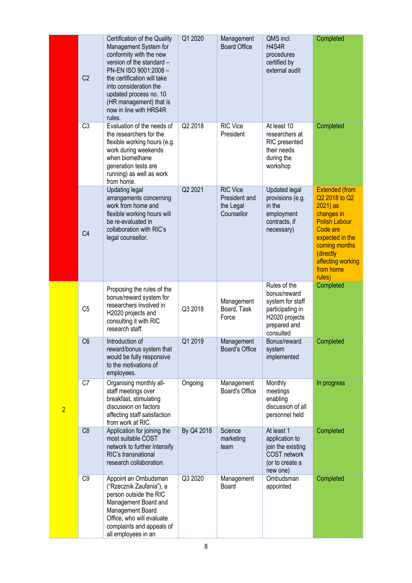|                | C <sub>2</sub> | Certification of the Quality<br>Management System for<br>conformity with the new<br>version of the standard -<br>PN-EN ISO 9001:2008-<br>the certification will take<br>into consideration the<br>updated process no. 10<br>(HR management) that is<br>now in line with HRS4R<br>rules. | Q1 2020    | Management<br><b>Board Office</b>                           | QMS incl.<br>H4S4R<br>procedures<br>certified by<br>external audit                                                  | Completed                                                                                                                                                                                            |
|----------------|----------------|-----------------------------------------------------------------------------------------------------------------------------------------------------------------------------------------------------------------------------------------------------------------------------------------|------------|-------------------------------------------------------------|---------------------------------------------------------------------------------------------------------------------|------------------------------------------------------------------------------------------------------------------------------------------------------------------------------------------------------|
|                | C <sub>3</sub> | Evaluation of the needs of<br>the researchers for the<br>flexible working hours (e.g.<br>work during weekends<br>when biomethane<br>generation tests are<br>running) as well as work<br>from home.                                                                                      | Q2 2018    | <b>RIC Vice</b><br>President                                | At least 10<br>researchers at<br>RIC presented<br>their needs<br>during the<br>workshop                             | Completed                                                                                                                                                                                            |
|                | C <sub>4</sub> | <b>Updating legal</b><br>arrangements concerning<br>work from home and<br>flexible working hours will<br>be re-evaluated in<br>collaboration with RIC's<br>legal counsellor.                                                                                                            | Q2 2021    | <b>RIC Vice</b><br>President and<br>the Legal<br>Counsellor | <b>Updated legal</b><br>provisions (e.g.<br>in the<br>employment<br>contracts, if<br>necessary)                     | <b>Extended (from</b><br>Q2 2018 to Q2<br>$2021$ ) as<br>changes in<br><b>Polish Labour</b><br>Code are<br>expected in the<br>coming months<br>(directly<br>affecting working<br>from home<br>rules) |
|                | C <sub>5</sub> | Proposing the rules of the<br>bonus/reward system for<br>researchers involved in<br>H2020 projects and<br>consulting it with RIC<br>research staff.                                                                                                                                     | Q3 2018    | Management<br>Board, Task<br>Force                          | Rules of the<br>bonus/reward<br>system for staff<br>participating in<br>H2020 projects<br>prepared and<br>consulted | Completed                                                                                                                                                                                            |
|                | C <sub>6</sub> | Introduction of<br>reward/bonus system that<br>would be fully responsive<br>to the motivations of<br>employees.                                                                                                                                                                         | Q1 2019    | Management<br>Board's Office                                | Bonus/reward<br>system<br>implemented                                                                               | Completed                                                                                                                                                                                            |
| $\overline{2}$ | C7             | Organising monthly all-<br>staff meetings over<br>breakfast, stimulating<br>discussion on factors<br>affecting staff satisfaction<br>from work at RIC.                                                                                                                                  | Ongoing    | Management<br>Board's Office                                | Monthly<br>meetings<br>enabling<br>discussion of all<br>personnel held                                              | In progress                                                                                                                                                                                          |
|                | C <sub>8</sub> | Application for joining the<br>most suitable COST<br>network to further intensify<br>RIC's transnational<br>research collaboration.                                                                                                                                                     | By Q4 2018 | Science<br>marketing<br>team                                | At least 1<br>application to<br>join the existing<br><b>COST network</b><br>(or to create a<br>new one)             | Completed                                                                                                                                                                                            |
|                | C <sub>9</sub> | Appoint an Ombudsman<br>("Rzecznik Zaufania"), a<br>person outside the RIC<br>Management Board and<br>Management Board<br>Office, who will evaluate<br>complaints and appeals of<br>all employees in an                                                                                 | Q3 2020    | Management<br>Board                                         | Ombudsman<br>appointed                                                                                              | Completed                                                                                                                                                                                            |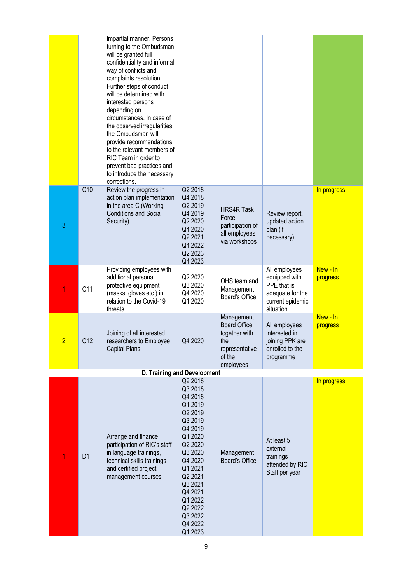|                |                 | impartial manner. Persons<br>turning to the Ombudsman<br>will be granted full<br>confidentiality and informal<br>way of conflicts and<br>complaints resolution.<br>Further steps of conduct<br>will be determined with<br>interested persons<br>depending on<br>circumstances. In case of<br>the observed irregularities,<br>the Ombudsman will<br>provide recommendations<br>to the relevant members of<br>RIC Team in order to<br>prevent bad practices and<br>to introduce the necessary<br>corrections. |                                                                                                                                                                                                                          |                                                                                                    |                                                                                                    |                      |
|----------------|-----------------|-------------------------------------------------------------------------------------------------------------------------------------------------------------------------------------------------------------------------------------------------------------------------------------------------------------------------------------------------------------------------------------------------------------------------------------------------------------------------------------------------------------|--------------------------------------------------------------------------------------------------------------------------------------------------------------------------------------------------------------------------|----------------------------------------------------------------------------------------------------|----------------------------------------------------------------------------------------------------|----------------------|
| 3              | C10             | Review the progress in<br>action plan implementation<br>in the area C (Working<br><b>Conditions and Social</b><br>Security)                                                                                                                                                                                                                                                                                                                                                                                 | Q2 2018<br>Q4 2018<br>Q2 2019<br>Q4 2019<br>Q2 2020<br>Q4 2020<br>Q2 2021<br>Q4 2022<br>Q2 2023<br>Q4 2023                                                                                                               | <b>HRS4R Task</b><br>Force.<br>participation of<br>all employees<br>via workshops                  | Review report,<br>updated action<br>plan (if<br>necessary)                                         | In progress          |
| 1              | C <sub>11</sub> | Providing employees with<br>additional personal<br>protective equipment<br>(masks, gloves etc.) in<br>relation to the Covid-19<br>threats                                                                                                                                                                                                                                                                                                                                                                   | Q2 2020<br>Q3 2020<br>Q4 2020<br>Q1 2020                                                                                                                                                                                 | OHS team and<br>Management<br>Board's Office                                                       | All employees<br>equipped with<br>PPE that is<br>adequate for the<br>current epidemic<br>situation | New - In<br>progress |
| $\overline{2}$ | C <sub>12</sub> | Joining of all interested<br>researchers to Employee<br>Capital Plans                                                                                                                                                                                                                                                                                                                                                                                                                                       | Q4 2020                                                                                                                                                                                                                  | Management<br><b>Board Office</b><br>together with<br>the<br>representative<br>of the<br>employees | All employees<br>interested in<br>joining PPK are<br>enrolled to the<br>programme                  | New - In<br>progress |
|                |                 |                                                                                                                                                                                                                                                                                                                                                                                                                                                                                                             | D. Training and Development                                                                                                                                                                                              |                                                                                                    |                                                                                                    |                      |
| 1              | D <sub>1</sub>  | Arrange and finance<br>participation of RIC's staff<br>in language trainings,<br>technical skills trainings<br>and certified project<br>management courses                                                                                                                                                                                                                                                                                                                                                  | Q2 2018<br>Q3 2018<br>Q4 2018<br>Q1 2019<br>Q2 2019<br>Q3 2019<br>Q4 2019<br>Q1 2020<br>Q2 2020<br>Q3 2020<br>Q4 2020<br>Q1 2021<br>Q2 2021<br>Q3 2021<br>Q4 2021<br>Q1 2022<br>Q2 2022<br>Q3 2022<br>Q4 2022<br>Q1 2023 | Management<br>Board's Office                                                                       | At least 5<br>external<br>trainings<br>attended by RIC<br>Staff per year                           | In progress          |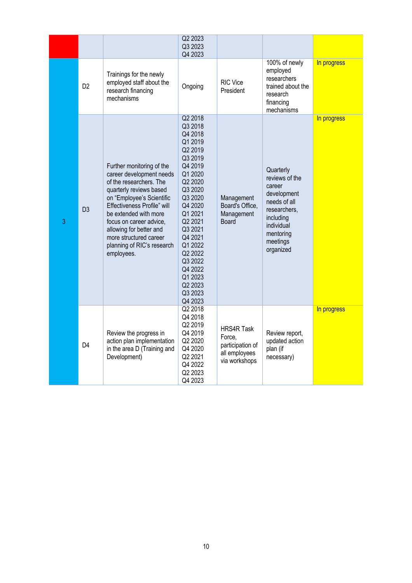|   |                |                                                                                                                                                                                                                                                                                                                              | Q2 2023<br>Q3 2023<br>Q4 2023                                                                                                                                                                                                                                        |                                                                                   |                                                                                                                                                       |             |
|---|----------------|------------------------------------------------------------------------------------------------------------------------------------------------------------------------------------------------------------------------------------------------------------------------------------------------------------------------------|----------------------------------------------------------------------------------------------------------------------------------------------------------------------------------------------------------------------------------------------------------------------|-----------------------------------------------------------------------------------|-------------------------------------------------------------------------------------------------------------------------------------------------------|-------------|
|   | D <sub>2</sub> | Trainings for the newly<br>employed staff about the<br>research financing<br>mechanisms                                                                                                                                                                                                                                      | Ongoing                                                                                                                                                                                                                                                              | <b>RIC Vice</b><br>President                                                      | 100% of newly<br>employed<br>researchers<br>trained about the<br>research<br>financing<br>mechanisms                                                  | In progress |
| 3 | D <sub>3</sub> | Further monitoring of the<br>career development needs<br>of the researchers. The<br>quarterly reviews based<br>on "Employee's Scientific<br>Effectiveness Profile" will<br>be extended with more<br>focus on career advice,<br>allowing for better and<br>more structured career<br>planning of RIC's research<br>employees. | Q2 2018<br>Q3 2018<br>Q4 2018<br>Q1 2019<br>Q2 2019<br>Q3 2019<br>Q4 2019<br>Q1 2020<br>Q2 2020<br>Q3 2020<br>Q3 2020<br>Q4 2020<br>Q1 2021<br>Q2 2021<br>Q3 2021<br>Q4 2021<br>Q1 2022<br>Q2 2022<br>Q3 2022<br>Q4 2022<br>Q1 2023<br>Q2 2023<br>Q3 2023<br>Q4 2023 | Management<br>Board's Office,<br>Management<br>Board                              | Quarterly<br>reviews of the<br>career<br>development<br>needs of all<br>researchers,<br>including<br>individual<br>mentoring<br>meetings<br>organized | In progress |
|   | D <sub>4</sub> | Review the progress in<br>action plan implementation<br>in the area D (Training and<br>Development)                                                                                                                                                                                                                          | Q2 2018<br>Q4 2018<br>Q2 2019<br>Q4 2019<br>Q2 2020<br>Q4 2020<br>Q2 2021<br>Q4 2022<br>Q2 2023<br>Q4 2023                                                                                                                                                           | <b>HRS4R Task</b><br>Force.<br>participation of<br>all employees<br>via workshops | Review report,<br>updated action<br>plan (if<br>necessary)                                                                                            | In progress |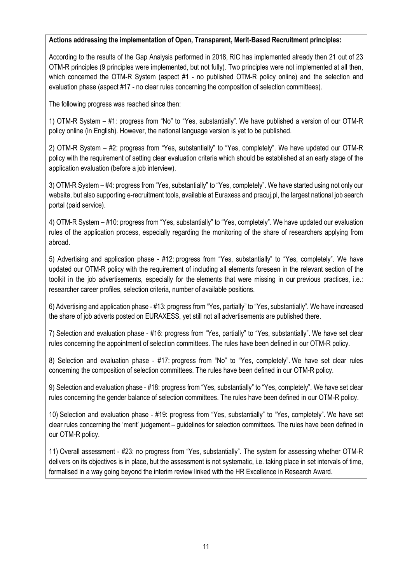### **Actions addressing the implementation of Open, Transparent, Merit-Based Recruitment principles:**

According to the results of the Gap Analysis performed in 2018, RIC has implemented already then 21 out of 23 OTM-R principles (9 principles were implemented, but not fully). Two principles were not implemented at all then, which concerned the OTM-R System (aspect #1 - no published OTM-R policy online) and the selection and evaluation phase (aspect #17 - no clear rules concerning the composition of selection committees).

The following progress was reached since then:

1) OTM-R System – #1: progress from "No" to "Yes, substantially". We have published a version of our OTM-R policy online (in English). However, the national language version is yet to be published.

2) OTM-R System – #2: progress from "Yes, substantially" to "Yes, completely". We have updated our OTM-R policy with the requirement of setting clear evaluation criteria which should be established at an early stage of the application evaluation (before a job interview).

3) OTM-R System – #4: progress from "Yes, substantially" to "Yes, completely". We have started using not only our website, but also supporting e-recruitment tools, available at Euraxess and pracuj.pl, the largest national job search portal (paid service).

4) OTM-R System – #10: progress from "Yes, substantially" to "Yes, completely". We have updated our evaluation rules of the application process, especially regarding the monitoring of the share of researchers applying from abroad.

5) Advertising and application phase - #12: progress from "Yes, substantially" to "Yes, completely". We have updated our OTM-R policy with the requirement of including all elements foreseen in the relevant section of the toolkit in the job advertisements, especially for the elements that were missing in our previous practices, i.e.: researcher career profiles, selection criteria, number of available positions.

6) Advertising and application phase - #13: progress from "Yes, partially" to "Yes, substantially". We have increased the share of job adverts posted on EURAXESS, yet still not all advertisements are published there.

7) Selection and evaluation phase - #16: progress from "Yes, partially" to "Yes, substantially". We have set clear rules concerning the appointment of selection committees. The rules have been defined in our OTM-R policy.

8) Selection and evaluation phase - #17: progress from "No" to "Yes, completely". We have set clear rules concerning the composition of selection committees. The rules have been defined in our OTM-R policy.

9) Selection and evaluation phase - #18: progress from "Yes, substantially" to "Yes, completely". We have set clear rules concerning the gender balance of selection committees. The rules have been defined in our OTM-R policy.

10) Selection and evaluation phase - #19: progress from "Yes, substantially" to "Yes, completely". We have set clear rules concerning the 'merit' judgement – guidelines for selection committees. The rules have been defined in our OTM-R policy.

11) Overall assessment - #23: no progress from "Yes, substantially". The system for assessing whether OTM-R delivers on its objectives is in place, but the assessment is not systematic, i.e. taking place in set intervals of time, formalised in a way going beyond the interim review linked with the HR Excellence in Research Award.